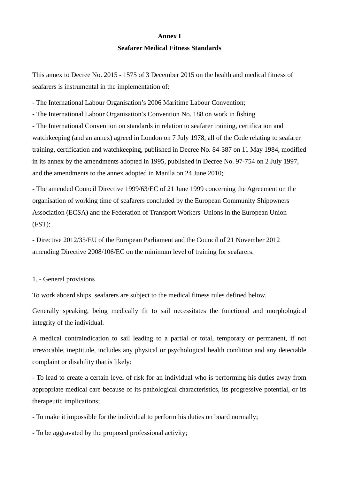#### **Annex I**

### **Seafarer Medical Fitness Standards**

This annex to Decree No. 2015 - 1575 of 3 December 2015 on the health and medical fitness of seafarers is instrumental in the implementation of:

- The International Labour Organisation's 2006 Maritime Labour Convention;

- The International Labour Organisation's Convention No. 188 on work in fishing - The International Convention on standards in relation to seafarer training, certification and watchkeeping (and an annex) agreed in London on 7 July 1978, all of the Code relating to seafarer training, certification and watchkeeping, published in Decree No. 84-387 on 11 May 1984, modified in its annex by the amendments adopted in 1995, published in Decree No. 97-754 on 2 July 1997, and the amendments to the annex adopted in Manila on 24 June 2010;

- The amended Council Directive 1999/63/EC of 21 June 1999 concerning the Agreement on the organisation of working time of seafarers concluded by the European Community Shipowners Association (ECSA) and the Federation of Transport Workers' Unions in the European Union (FST);

- Directive 2012/35/EU of the European Parliament and the Council of 21 November 2012 amending Directive 2008/106/EC on the minimum level of training for seafarers.

# 1. - General provisions

To work aboard ships, seafarers are subject to the medical fitness rules defined below.

Generally speaking, being medically fit to sail necessitates the functional and morphological integrity of the individual.

A medical contraindication to sail leading to a partial or total, temporary or permanent, if not irrevocable, ineptitude, includes any physical or psychological health condition and any detectable complaint or disability that is likely:

- To lead to create a certain level of risk for an individual who is performing his duties away from appropriate medical care because of its pathological characteristics, its progressive potential, or its therapeutic implications;

- To make it impossible for the individual to perform his duties on board normally;

- To be aggravated by the proposed professional activity;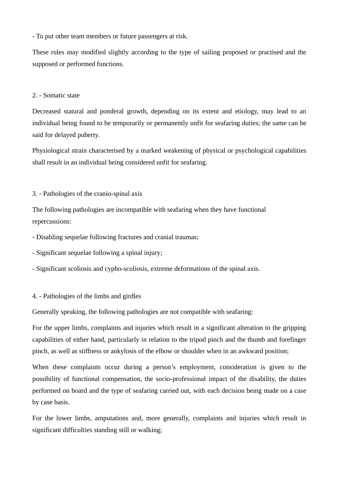- To put other team members or future passengers at risk.

These rules may modified slightly according to the type of sailing proposed or practised and the supposed or performed functions.

# 2. - Somatic state

Decreased statural and ponderal growth, depending on its extent and etiology, may lead to an individual being found to be temporarily or permanently unfit for seafaring duties; the same can be said for delayed puberty.

Physiological strain characterised by a marked weakening of physical or psychological capabilities shall result in an individual being considered unfit for seafaring.

## 3. - Pathologies of the cranio-spinal axis

The following pathologies are incompatible with seafaring when they have functional repercussions:

- Disabling sequelae following fractures and cranial traumas;
- Significant sequelae following a spinal injury;
- Significant scoliosis and cypho-scoliosis, extreme deformations of the spinal axis.

### 4. - Pathologies of the limbs and girdles

Generally speaking, the following pathologies are not compatible with seafaring:

For the upper limbs, complaints and injuries which result in a significant alteration to the gripping capabilities of either hand, particularly in relation to the tripod pinch and the thumb and forefinger pinch, as well as stiffness or ankylosis of the elbow or shoulder when in an awkward position;

When these complaints occur during a person's employment, consideration is given to the possibility of functional compensation, the socio-professional impact of the disability, the duties performed on board and the type of seafaring carried out, with each decision being made on a case by case basis.

For the lower limbs, amputations and, more generally, complaints and injuries which result in significant difficulties standing still or walking;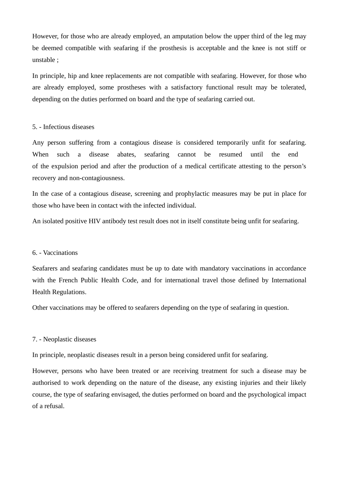However, for those who are already employed, an amputation below the upper third of the leg may be deemed compatible with seafaring if the prosthesis is acceptable and the knee is not stiff or unstable ;

In principle, hip and knee replacements are not compatible with seafaring. However, for those who are already employed, some prostheses with a satisfactory functional result may be tolerated, depending on the duties performed on board and the type of seafaring carried out.

#### 5. - Infectious diseases

Any person suffering from a contagious disease is considered temporarily unfit for seafaring. When such a disease abates, seafaring cannot be resumed until the end of the expulsion period and after the production of a medical certificate attesting to the person's recovery and non-contagiousness.

In the case of a contagious disease, screening and prophylactic measures may be put in place for those who have been in contact with the infected individual.

An isolated positive HIV antibody test result does not in itself constitute being unfit for seafaring.

### 6. - Vaccinations

Seafarers and seafaring candidates must be up to date with mandatory vaccinations in accordance with the French Public Health Code, and for international travel those defined by International Health Regulations.

Other vaccinations may be offered to seafarers depending on the type of seafaring in question.

### 7. - Neoplastic diseases

In principle, neoplastic diseases result in a person being considered unfit for seafaring.

However, persons who have been treated or are receiving treatment for such a disease may be authorised to work depending on the nature of the disease, any existing injuries and their likely course, the type of seafaring envisaged, the duties performed on board and the psychological impact of a refusal.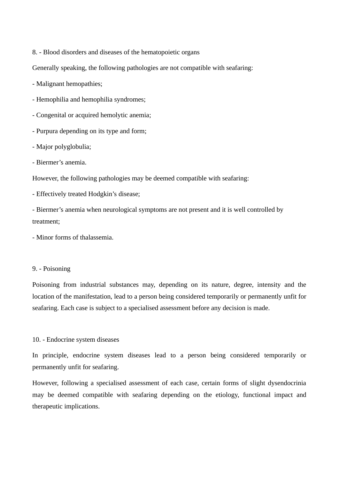8. - Blood disorders and diseases of the hematopoietic organs

Generally speaking, the following pathologies are not compatible with seafaring:

- Malignant hemopathies;

- Hemophilia and hemophilia syndromes;

- Congenital or acquired hemolytic anemia;

- Purpura depending on its type and form;

- Major polyglobulia;

- Biermer's anemia.

However, the following pathologies may be deemed compatible with seafaring:

- Effectively treated Hodgkin's disease;

- Biermer's anemia when neurological symptoms are not present and it is well controlled by treatment;

- Minor forms of thalassemia.

#### 9. - Poisoning

Poisoning from industrial substances may, depending on its nature, degree, intensity and the location of the manifestation, lead to a person being considered temporarily or permanently unfit for seafaring. Each case is subject to a specialised assessment before any decision is made.

#### 10. - Endocrine system diseases

In principle, endocrine system diseases lead to a person being considered temporarily or permanently unfit for seafaring.

However, following a specialised assessment of each case, certain forms of slight dysendocrinia may be deemed compatible with seafaring depending on the etiology, functional impact and therapeutic implications.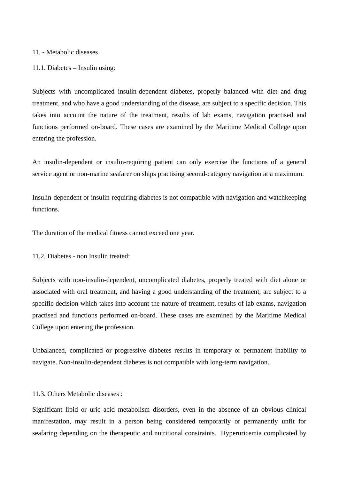#### 11. - Metabolic diseases

11.1. Diabetes – Insulin using:

Subjects with uncomplicated insulin-dependent diabetes, properly balanced with diet and drug treatment, and who have a good understanding of the disease, are subject to a specific decision. This takes into account the nature of the treatment, results of lab exams, navigation practised and functions performed on-board. These cases are examined by the Maritime Medical College upon entering the profession.

An insulin-dependent or insulin-requiring patient can only exercise the functions of a general service agent or non-marine seafarer on ships practising second-category navigation at a maximum.

Insulin-dependent or insulin-requiring diabetes is not compatible with navigation and watchkeeping functions.

The duration of the medical fitness cannot exceed one year.

11.2. Diabetes - non Insulin treated:

Subjects with non-insulin-dependent, uncomplicated diabetes, properly treated with diet alone or associated with oral treatment, and having a good understanding of the treatment, are subject to a specific decision which takes into account the nature of treatment, results of lab exams, navigation practised and functions performed on-board. These cases are examined by the Maritime Medical College upon entering the profession.

Unbalanced, complicated or progressive diabetes results in temporary or permanent inability to navigate. Non-insulin-dependent diabetes is not compatible with long-term navigation.

11.3. Others Metabolic diseases :

Significant lipid or uric acid metabolism disorders, even in the absence of an obvious clinical manifestation, may result in a person being considered temporarily or permanently unfit for seafaring depending on the therapeutic and nutritional constraints. Hyperuricemia complicated by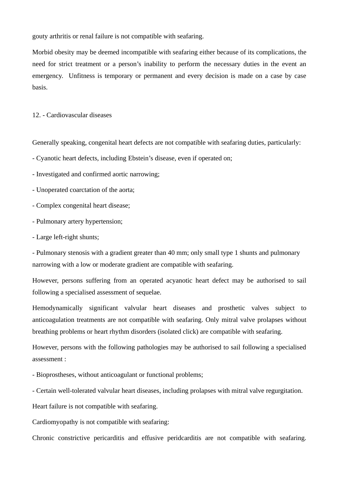gouty arthritis or renal failure is not compatible with seafaring.

Morbid obesity may be deemed incompatible with seafaring either because of its complications, the need for strict treatment or a person's inability to perform the necessary duties in the event an emergency. Unfitness is temporary or permanent and every decision is made on a case by case basis.

12. - Cardiovascular diseases

Generally speaking, congenital heart defects are not compatible with seafaring duties, particularly:

- Cyanotic heart defects, including Ebstein's disease, even if operated on;

- Investigated and confirmed aortic narrowing;

- Unoperated coarctation of the aorta;

- Complex congenital heart disease;
- Pulmonary artery hypertension;
- Large left-right shunts;

- Pulmonary stenosis with a gradient greater than 40 mm; only small type 1 shunts and pulmonary narrowing with a low or moderate gradient are compatible with seafaring.

However, persons suffering from an operated acyanotic heart defect may be authorised to sail following a specialised assessment of sequelae.

Hemodynamically significant valvular heart diseases and prosthetic valves subject to anticoagulation treatments are not compatible with seafaring. Only mitral valve prolapses without breathing problems or heart rhythm disorders (isolated click) are compatible with seafaring.

However, persons with the following pathologies may be authorised to sail following a specialised assessment :

- Bioprostheses, without anticoagulant or functional problems;

- Certain well-tolerated valvular heart diseases, including prolapses with mitral valve regurgitation.

Heart failure is not compatible with seafaring.

Cardiomyopathy is not compatible with seafaring:

Chronic constrictive pericarditis and effusive peridcarditis are not compatible with seafaring.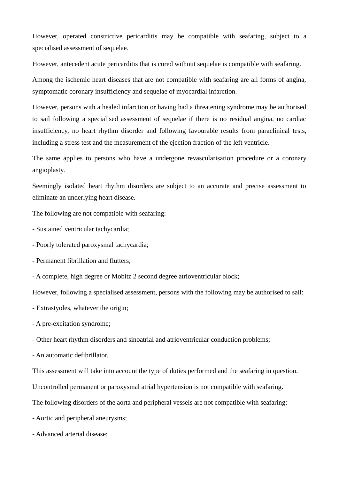However, operated constrictive pericarditis may be compatible with seafaring, subject to a specialised assessment of sequelae.

However, antecedent acute pericarditis that is cured without sequelae is compatible with seafaring.

Among the ischemic heart diseases that are not compatible with seafaring are all forms of angina, symptomatic coronary insufficiency and sequelae of myocardial infarction.

However, persons with a healed infarction or having had a threatening syndrome may be authorised to sail following a specialised assessment of sequelae if there is no residual angina, no cardiac insufficiency, no heart rhythm disorder and following favourable results from paraclinical tests, including a stress test and the measurement of the ejection fraction of the left ventricle.

The same applies to persons who have a undergone revascularisation procedure or a coronary angioplasty.

Seemingly isolated heart rhythm disorders are subject to an accurate and precise assessment to eliminate an underlying heart disease.

The following are not compatible with seafaring:

- Sustained ventricular tachycardia;

- Poorly tolerated paroxysmal tachycardia;

- Permanent fibrillation and flutters;

- A complete, high degree or Mobitz 2 second degree atrioventricular block;

However, following a specialised assessment, persons with the following may be authorised to sail:

- Extrastyoles, whatever the origin;

- A pre-excitation syndrome;

- Other heart rhythm disorders and sinoatrial and atrioventricular conduction problems;

- An automatic defibrillator.

This assessment will take into account the type of duties performed and the seafaring in question.

Uncontrolled permanent or paroxysmal atrial hypertension is not compatible with seafaring.

The following disorders of the aorta and peripheral vessels are not compatible with seafaring:

- Aortic and peripheral aneurysms;

- Advanced arterial disease;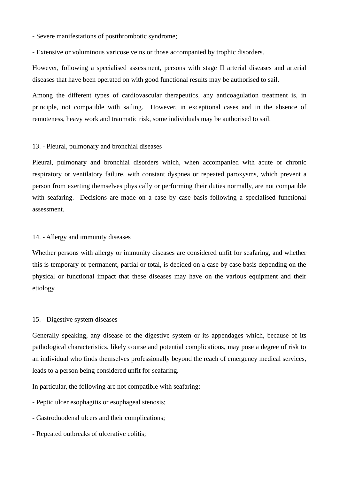- Severe manifestations of postthrombotic syndrome;

- Extensive or voluminous varicose veins or those accompanied by trophic disorders.

However, following a specialised assessment, persons with stage II arterial diseases and arterial diseases that have been operated on with good functional results may be authorised to sail.

Among the different types of cardiovascular therapeutics, any anticoagulation treatment is, in principle, not compatible with sailing. However, in exceptional cases and in the absence of remoteness, heavy work and traumatic risk, some individuals may be authorised to sail.

#### 13. - Pleural, pulmonary and bronchial diseases

Pleural, pulmonary and bronchial disorders which, when accompanied with acute or chronic respiratory or ventilatory failure, with constant dyspnea or repeated paroxysms, which prevent a person from exerting themselves physically or performing their duties normally, are not compatible with seafaring. Decisions are made on a case by case basis following a specialised functional assessment.

#### 14. - Allergy and immunity diseases

Whether persons with allergy or immunity diseases are considered unfit for seafaring, and whether this is temporary or permanent, partial or total, is decided on a case by case basis depending on the physical or functional impact that these diseases may have on the various equipment and their etiology.

#### 15. - Digestive system diseases

Generally speaking, any disease of the digestive system or its appendages which, because of its pathological characteristics, likely course and potential complications, may pose a degree of risk to an individual who finds themselves professionally beyond the reach of emergency medical services, leads to a person being considered unfit for seafaring.

In particular, the following are not compatible with seafaring:

- Peptic ulcer esophagitis or esophageal stenosis;
- Gastroduodenal ulcers and their complications;
- Repeated outbreaks of ulcerative colitis;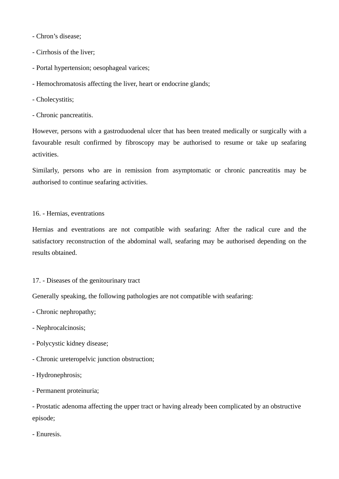- Chron's disease;

- Cirrhosis of the liver;
- Portal hypertension; oesophageal varices;
- Hemochromatosis affecting the liver, heart or endocrine glands;
- Cholecystitis;
- Chronic pancreatitis.

However, persons with a gastroduodenal ulcer that has been treated medically or surgically with a favourable result confirmed by fibroscopy may be authorised to resume or take up seafaring activities.

Similarly, persons who are in remission from asymptomatic or chronic pancreatitis may be authorised to continue seafaring activities.

## 16. - Hernias, eventrations

Hernias and eventrations are not compatible with seafaring: After the radical cure and the satisfactory reconstruction of the abdominal wall, seafaring may be authorised depending on the results obtained.

# 17. - Diseases of the genitourinary tract

Generally speaking, the following pathologies are not compatible with seafaring:

- Chronic nephropathy;

- Nephrocalcinosis;
- Polycystic kidney disease;
- Chronic ureteropelvic junction obstruction;
- Hydronephrosis;
- Permanent proteinuria;

- Prostatic adenoma affecting the upper tract or having already been complicated by an obstructive episode;

- Enuresis.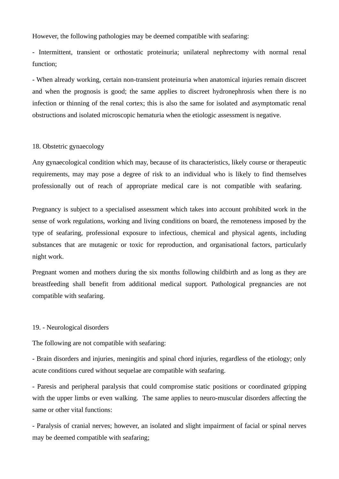However, the following pathologies may be deemed compatible with seafaring:

- Intermittent, transient or orthostatic proteinuria; unilateral nephrectomy with normal renal function;

- When already working, certain non-transient proteinuria when anatomical injuries remain discreet and when the prognosis is good; the same applies to discreet hydronephrosis when there is no infection or thinning of the renal cortex; this is also the same for isolated and asymptomatic renal obstructions and isolated microscopic hematuria when the etiologic assessment is negative.

#### 18. Obstetric gynaecology

Any gynaecological condition which may, because of its characteristics, likely course or therapeutic requirements, may may pose a degree of risk to an individual who is likely to find themselves professionally out of reach of appropriate medical care is not compatible with seafaring.

Pregnancy is subject to a specialised assessment which takes into account prohibited work in the sense of work regulations, working and living conditions on board, the remoteness imposed by the type of seafaring, professional exposure to infectious, chemical and physical agents, including substances that are mutagenic or toxic for reproduction, and organisational factors, particularly night work.

Pregnant women and mothers during the six months following childbirth and as long as they are breastfeeding shall benefit from additional medical support. Pathological pregnancies are not compatible with seafaring.

#### 19. - Neurological disorders

The following are not compatible with seafaring:

- Brain disorders and injuries, meningitis and spinal chord injuries, regardless of the etiology; only acute conditions cured without sequelae are compatible with seafaring.

- Paresis and peripheral paralysis that could compromise static positions or coordinated gripping with the upper limbs or even walking. The same applies to neuro-muscular disorders affecting the same or other vital functions:

- Paralysis of cranial nerves; however, an isolated and slight impairment of facial or spinal nerves may be deemed compatible with seafaring;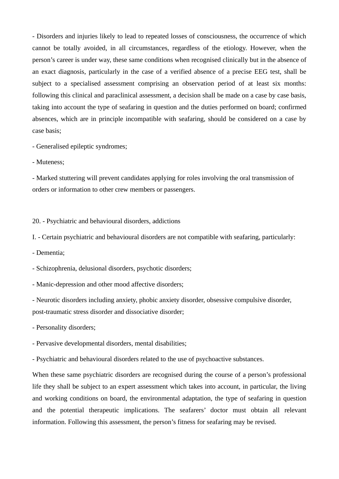- Disorders and injuries likely to lead to repeated losses of consciousness, the occurrence of which cannot be totally avoided, in all circumstances, regardless of the etiology. However, when the person's career is under way, these same conditions when recognised clinically but in the absence of an exact diagnosis, particularly in the case of a verified absence of a precise EEG test, shall be subject to a specialised assessment comprising an observation period of at least six months: following this clinical and paraclinical assessment, a decision shall be made on a case by case basis, taking into account the type of seafaring in question and the duties performed on board; confirmed absences, which are in principle incompatible with seafaring, should be considered on a case by case basis;

- Generalised epileptic syndromes;

- Muteness;

- Marked stuttering will prevent candidates applying for roles involving the oral transmission of orders or information to other crew members or passengers.

20. - Psychiatric and behavioural disorders, addictions

I. - Certain psychiatric and behavioural disorders are not compatible with seafaring, particularly:

- Dementia;

- Schizophrenia, delusional disorders, psychotic disorders;

- Manic-depression and other mood affective disorders;

- Neurotic disorders including anxiety, phobic anxiety disorder, obsessive compulsive disorder, post-traumatic stress disorder and dissociative disorder;

- Personality disorders;

- Pervasive developmental disorders, mental disabilities;

- Psychiatric and behavioural disorders related to the use of psychoactive substances.

When these same psychiatric disorders are recognised during the course of a person's professional life they shall be subject to an expert assessment which takes into account, in particular, the living and working conditions on board, the environmental adaptation, the type of seafaring in question and the potential therapeutic implications. The seafarers' doctor must obtain all relevant information. Following this assessment, the person's fitness for seafaring may be revised.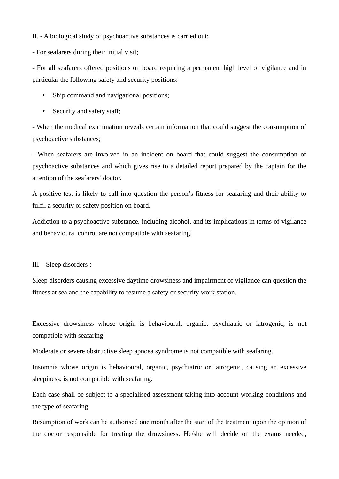II. - A biological study of psychoactive substances is carried out:

- For seafarers during their initial visit;

- For all seafarers offered positions on board requiring a permanent high level of vigilance and in particular the following safety and security positions:

- Ship command and navigational positions;
- Security and safety staff;

- When the medical examination reveals certain information that could suggest the consumption of psychoactive substances;

- When seafarers are involved in an incident on board that could suggest the consumption of psychoactive substances and which gives rise to a detailed report prepared by the captain for the attention of the seafarers' doctor.

A positive test is likely to call into question the person's fitness for seafaring and their ability to fulfil a security or safety position on board.

Addiction to a psychoactive substance, including alcohol, and its implications in terms of vigilance and behavioural control are not compatible with seafaring.

III – Sleep disorders :

Sleep disorders causing excessive daytime drowsiness and impairment of vigilance can question the fitness at sea and the capability to resume a safety or security work station.

Excessive drowsiness whose origin is behavioural, organic, psychiatric or iatrogenic, is not compatible with seafaring.

Moderate or severe obstructive sleep apnoea syndrome is not compatible with seafaring.

Insomnia whose origin is behavioural, organic, psychiatric or iatrogenic, causing an excessive sleepiness, is not compatible with seafaring.

Each case shall be subject to a specialised assessment taking into account working conditions and the type of seafaring.

Resumption of work can be authorised one month after the start of the treatment upon the opinion of the doctor responsible for treating the drowsiness. He/she will decide on the exams needed,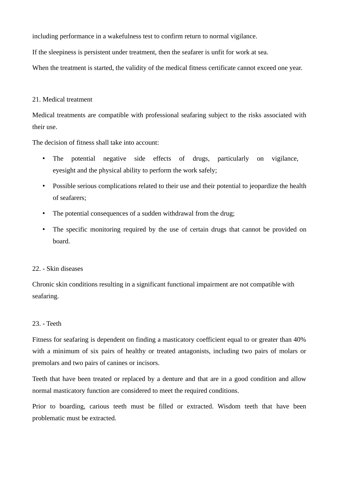including performance in a wakefulness test to confirm return to normal vigilance.

If the sleepiness is persistent under treatment, then the seafarer is unfit for work at sea.

When the treatment is started, the validity of the medical fitness certificate cannot exceed one year.

### 21. Medical treatment

Medical treatments are compatible with professional seafaring subject to the risks associated with their use.

The decision of fitness shall take into account:

- The potential negative side effects of drugs, particularly on vigilance, eyesight and the physical ability to perform the work safely;
- Possible serious complications related to their use and their potential to jeopardize the health of seafarers;
- The potential consequences of a sudden withdrawal from the drug;
- The specific monitoring required by the use of certain drugs that cannot be provided on board.

### 22. - Skin diseases

Chronic skin conditions resulting in a significant functional impairment are not compatible with seafaring.

# 23. - Teeth

Fitness for seafaring is dependent on finding a masticatory coefficient equal to or greater than 40% with a minimum of six pairs of healthy or treated antagonists, including two pairs of molars or premolars and two pairs of canines or incisors.

Teeth that have been treated or replaced by a denture and that are in a good condition and allow normal masticatory function are considered to meet the required conditions.

Prior to boarding, carious teeth must be filled or extracted. Wisdom teeth that have been problematic must be extracted.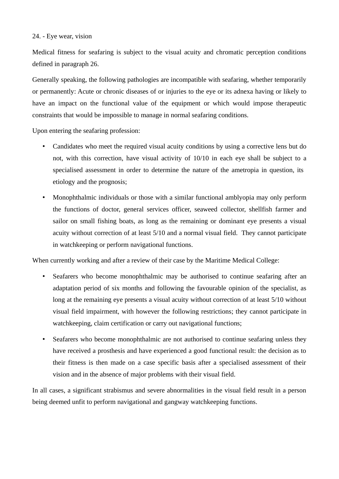# 24. - Eye wear, vision

Medical fitness for seafaring is subject to the visual acuity and chromatic perception conditions defined in paragraph 26.

Generally speaking, the following pathologies are incompatible with seafaring, whether temporarily or permanently: Acute or chronic diseases of or injuries to the eye or its adnexa having or likely to have an impact on the functional value of the equipment or which would impose therapeutic constraints that would be impossible to manage in normal seafaring conditions.

Upon entering the seafaring profession:

- Candidates who meet the required visual acuity conditions by using a corrective lens but do not, with this correction, have visual activity of 10/10 in each eye shall be subject to a specialised assessment in order to determine the nature of the ametropia in question, its etiology and the prognosis;
- Monophthalmic individuals or those with a similar functional amblyopia may only perform the functions of doctor, general services officer, seaweed collector, shellfish farmer and sailor on small fishing boats, as long as the remaining or dominant eye presents a visual acuity without correction of at least 5/10 and a normal visual field. They cannot participate in watchkeeping or perform navigational functions.

When currently working and after a review of their case by the Maritime Medical College:

- Seafarers who become monophthalmic may be authorised to continue seafaring after an adaptation period of six months and following the favourable opinion of the specialist, as long at the remaining eye presents a visual acuity without correction of at least 5/10 without visual field impairment, with however the following restrictions; they cannot participate in watchkeeping, claim certification or carry out navigational functions;
- Seafarers who become monophthalmic are not authorised to continue seafaring unless they have received a prosthesis and have experienced a good functional result: the decision as to their fitness is then made on a case specific basis after a specialised assessment of their vision and in the absence of major problems with their visual field.

In all cases, a significant strabismus and severe abnormalities in the visual field result in a person being deemed unfit to perform navigational and gangway watchkeeping functions.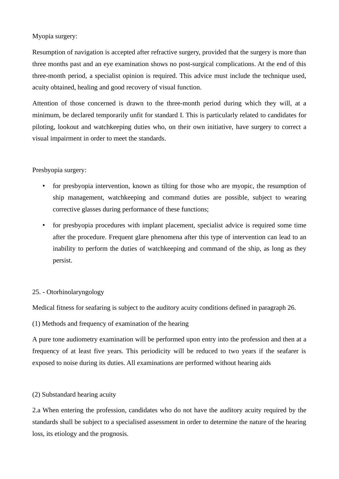# Myopia surgery:

Resumption of navigation is accepted after refractive surgery, provided that the surgery is more than three months past and an eye examination shows no post-surgical complications. At the end of this three-month period, a specialist opinion is required. This advice must include the technique used, acuity obtained, healing and good recovery of visual function.

Attention of those concerned is drawn to the three-month period during which they will, at a minimum, be declared temporarily unfit for standard I. This is particularly related to candidates for piloting, lookout and watchkeeping duties who, on their own initiative, have surgery to correct a visual impairment in order to meet the standards.

# Presbyopia surgery:

- for presbyopia intervention, known as tilting for those who are myopic, the resumption of ship management, watchkeeping and command duties are possible, subject to wearing corrective glasses during performance of these functions;
- for presbyopia procedures with implant placement, specialist advice is required some time after the procedure. Frequent glare phenomena after this type of intervention can lead to an inability to perform the duties of watchkeeping and command of the ship, as long as they persist.

# 25. - Otorhinolaryngology

Medical fitness for seafaring is subject to the auditory acuity conditions defined in paragraph 26.

# (1) Methods and frequency of examination of the hearing

A pure tone audiometry examination will be performed upon entry into the profession and then at a frequency of at least five years. This periodicity will be reduced to two years if the seafarer is exposed to noise during its duties. All examinations are performed without hearing aids

# (2) Substandard hearing acuity

2.a When entering the profession, candidates who do not have the auditory acuity required by the standards shall be subject to a specialised assessment in order to determine the nature of the hearing loss, its etiology and the prognosis.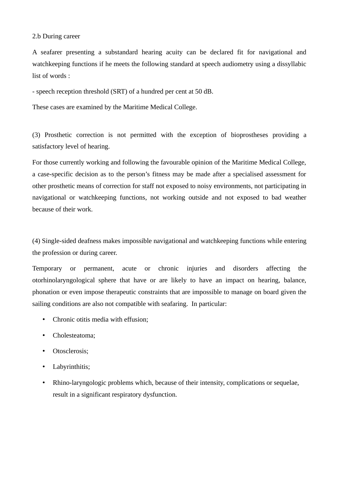### 2.b During career

A seafarer presenting a substandard hearing acuity can be declared fit for navigational and watchkeeping functions if he meets the following standard at speech audiometry using a dissyllabic list of words :

- speech reception threshold (SRT) of a hundred per cent at 50 dB.

These cases are examined by the Maritime Medical College.

(3) Prosthetic correction is not permitted with the exception of bioprostheses providing a satisfactory level of hearing.

For those currently working and following the favourable opinion of the Maritime Medical College, a case-specific decision as to the person's fitness may be made after a specialised assessment for other prosthetic means of correction for staff not exposed to noisy environments, not participating in navigational or watchkeeping functions, not working outside and not exposed to bad weather because of their work.

(4) Single-sided deafness makes impossible navigational and watchkeeping functions while entering the profession or during career.

Temporary or permanent, acute or chronic injuries and disorders affecting the otorhinolaryngological sphere that have or are likely to have an impact on hearing, balance, phonation or even impose therapeutic constraints that are impossible to manage on board given the sailing conditions are also not compatible with seafaring. In particular:

- Chronic otitis media with effusion;
- Cholesteatoma;
- Otosclerosis;
- Labyrinthitis;
- Rhino-laryngologic problems which, because of their intensity, complications or sequelae, result in a significant respiratory dysfunction.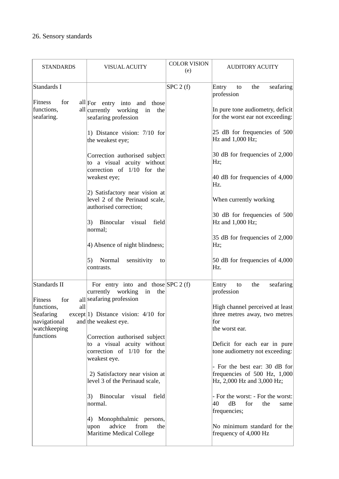# 26. Sensory standards

| <b>STANDARDS</b>                                                            | VISUAL ACUITY                                                                                             | <b>COLOR VISION</b><br>(e) | <b>AUDITORY ACUITY</b>                                                                                                |
|-----------------------------------------------------------------------------|-----------------------------------------------------------------------------------------------------------|----------------------------|-----------------------------------------------------------------------------------------------------------------------|
| Standards I<br>Fitness<br>for<br>functions,<br>seafaring.                   | all For entry into and those<br>all currently working<br>the<br>in<br>seafaring profession                | SPC 2(f)                   | Entry<br>the<br>seafaring<br>to<br>profession<br>In pure tone audiometry, deficit<br>for the worst ear not exceeding: |
|                                                                             | 1) Distance vision: 7/10 for<br>the weakest eye;                                                          |                            | 25 dB for frequencies of 500<br>Hz and 1,000 Hz;                                                                      |
|                                                                             | Correction authorised subject<br>to a visual acuity without<br>correction of 1/10 for the                 |                            | 30 dB for frequencies of 2,000<br>Hz;                                                                                 |
|                                                                             | weakest eye;                                                                                              |                            | 40 dB for frequencies of 4,000<br>Hz.                                                                                 |
|                                                                             | 2) Satisfactory near vision at<br>level 2 of the Perinaud scale,<br>authorised correction;                |                            | When currently working                                                                                                |
|                                                                             | 3) Binocular visual<br>field<br>normal;                                                                   |                            | 30 dB for frequencies of 500<br>Hz and 1,000 Hz;                                                                      |
|                                                                             | 4) Absence of night blindness;                                                                            |                            | 35 dB for frequencies of 2,000<br>Hz;                                                                                 |
|                                                                             | 5)<br>Normal<br>sensitivity<br>to<br>contrasts.                                                           |                            | 50 dB for frequencies of 4,000<br>Hz.                                                                                 |
| Standards II<br>Fitness<br>for                                              | For entry into and those $SPC 2(f)$<br>currently working<br>in<br>the<br>all seafaring profession         |                            | Entry<br>the<br>seafaring<br>to<br>profession                                                                         |
| all<br>functions,<br>Seafaring<br>navigational<br>watchkeeping<br>functions | except $ 1)$ Distance vision: 4/10 for<br>and the weakest eye.                                            |                            | High channel perceived at least<br>three metres away, two metres<br>for<br>the worst ear.                             |
|                                                                             | Correction authorised subject<br>to a visual acuity without<br>correction of 1/10 for the<br>weakest eye. |                            | Deficit for each ear in pure<br>tone audiometry not exceeding:<br>- For the best ear: 30 dB for                       |
|                                                                             | 2) Satisfactory near vision at<br>level 3 of the Perinaud scale,                                          |                            | frequencies of 500 Hz, 1,000<br>Hz, 2,000 Hz and 3,000 Hz;                                                            |
|                                                                             | Binocular<br>3)<br>visual<br>field<br>normal.                                                             |                            | - For the worst: - For the worst:<br>40<br>dB<br>for<br>the<br>same<br>frequencies;                                   |
|                                                                             | 4) Monophthalmic persons,<br>advice<br>from<br>upon<br>the<br>Maritime Medical College                    |                            | No minimum standard for the<br>frequency of 4,000 Hz                                                                  |